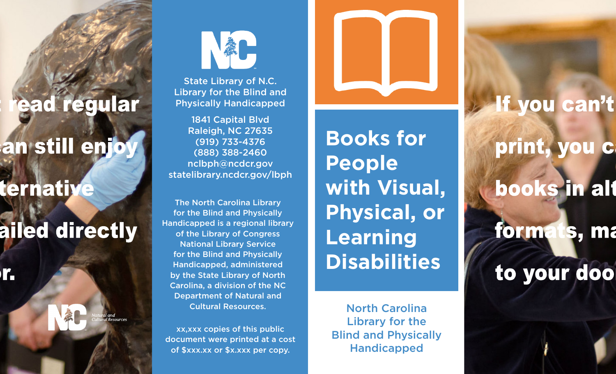### ead regular

## an still enjoy

### ternative

# ailed directly

r.



State Library of N.C. Library for the Blind and Physically Handicapped

1841 Capital Blvd Raleigh, NC 27635 (919) 733-4376 (888) 388-2460 nclbph@ncdcr.gov statelibrary.ncdcr.gov/lbph

The North Carolina Library for the Blind and Physically Handicapped is a regional library of the Library of Congress National Library Service for the Blind and Physically Handicapped, administered by the State Library of North Carolina, a division of the NC Department of Natural and Cultural Resources.

xx,xxx copies of this public document were printed at a cost of \$xxx.xx or \$x.xxx per copy.

**Books for People with Visual, Physical, or Learning Disabilities**

North Carolina Library for the Blind and Physically Handicapped

If you can't

# print, you c books in alt

forma **Is, ma** to your doo